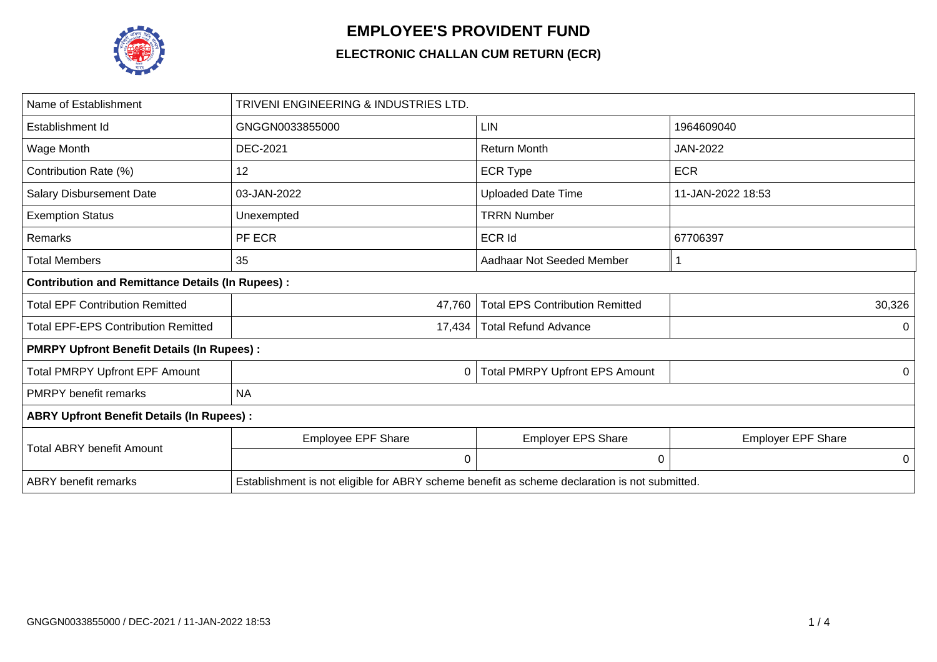

## **EMPLOYEE'S PROVIDENT FUND**

## **ELECTRONIC CHALLAN CUM RETURN (ECR)**

| Name of Establishment                                   | TRIVENI ENGINEERING & INDUSTRIES LTD.                                                         |                                        |                           |  |  |  |  |  |  |  |
|---------------------------------------------------------|-----------------------------------------------------------------------------------------------|----------------------------------------|---------------------------|--|--|--|--|--|--|--|
| Establishment Id                                        | GNGGN0033855000                                                                               | <b>LIN</b>                             | 1964609040                |  |  |  |  |  |  |  |
| Wage Month                                              | <b>DEC-2021</b>                                                                               | <b>Return Month</b>                    | JAN-2022                  |  |  |  |  |  |  |  |
| Contribution Rate (%)                                   | 12                                                                                            | <b>ECR Type</b>                        | <b>ECR</b>                |  |  |  |  |  |  |  |
| <b>Salary Disbursement Date</b>                         | 03-JAN-2022                                                                                   | <b>Uploaded Date Time</b>              | 11-JAN-2022 18:53         |  |  |  |  |  |  |  |
| <b>Exemption Status</b>                                 | Unexempted                                                                                    | <b>TRRN Number</b>                     |                           |  |  |  |  |  |  |  |
| Remarks                                                 | PF ECR                                                                                        | ECR Id                                 | 67706397                  |  |  |  |  |  |  |  |
| <b>Total Members</b>                                    | 35                                                                                            | Aadhaar Not Seeded Member              |                           |  |  |  |  |  |  |  |
| <b>Contribution and Remittance Details (In Rupees):</b> |                                                                                               |                                        |                           |  |  |  |  |  |  |  |
| <b>Total EPF Contribution Remitted</b>                  | 47,760                                                                                        | <b>Total EPS Contribution Remitted</b> | 30,326                    |  |  |  |  |  |  |  |
| <b>Total EPF-EPS Contribution Remitted</b>              | 17,434                                                                                        | <b>Total Refund Advance</b>            | 0                         |  |  |  |  |  |  |  |
| <b>PMRPY Upfront Benefit Details (In Rupees):</b>       |                                                                                               |                                        |                           |  |  |  |  |  |  |  |
| <b>Total PMRPY Upfront EPF Amount</b>                   | 0                                                                                             | <b>Total PMRPY Upfront EPS Amount</b>  | 0                         |  |  |  |  |  |  |  |
| <b>PMRPY benefit remarks</b>                            | <b>NA</b>                                                                                     |                                        |                           |  |  |  |  |  |  |  |
| <b>ABRY Upfront Benefit Details (In Rupees):</b>        |                                                                                               |                                        |                           |  |  |  |  |  |  |  |
| <b>Total ABRY benefit Amount</b>                        | Employee EPF Share                                                                            | <b>Employer EPS Share</b>              | <b>Employer EPF Share</b> |  |  |  |  |  |  |  |
|                                                         | 0                                                                                             | 0                                      | 0                         |  |  |  |  |  |  |  |
| <b>ABRY</b> benefit remarks                             | Establishment is not eligible for ABRY scheme benefit as scheme declaration is not submitted. |                                        |                           |  |  |  |  |  |  |  |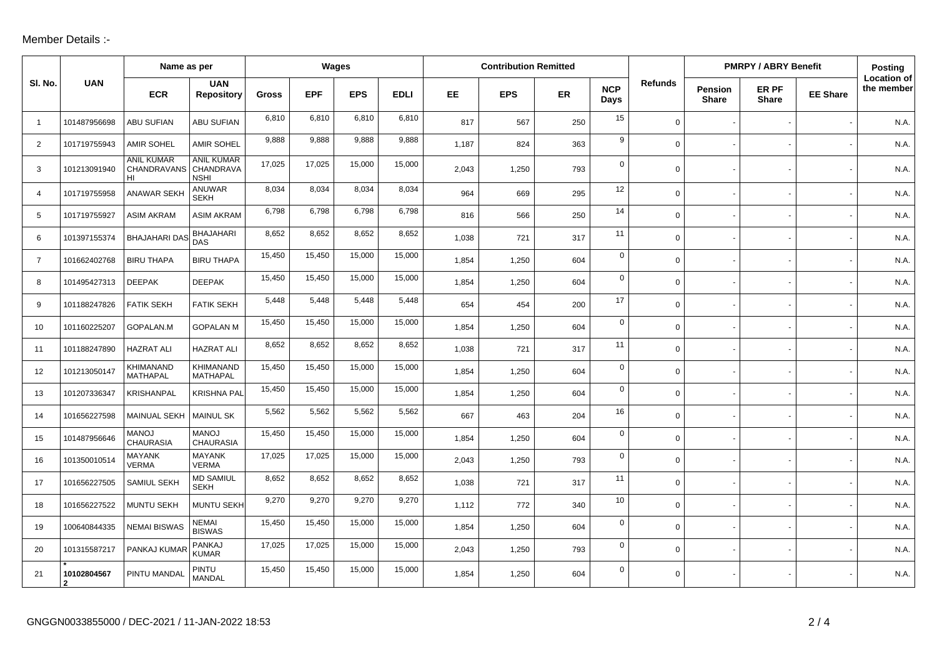## Member Details :-

|                |                  | Name as per                                   |                                               | Wages        |            |            |             | <b>Contribution Remitted</b> |            |     |                    |                | <b>PMRPY / ABRY Benefit</b> |                       |                 | Posting                          |
|----------------|------------------|-----------------------------------------------|-----------------------------------------------|--------------|------------|------------|-------------|------------------------------|------------|-----|--------------------|----------------|-----------------------------|-----------------------|-----------------|----------------------------------|
| SI. No.        | <b>UAN</b>       | <b>ECR</b>                                    | <b>UAN</b><br><b>Repository</b>               | <b>Gross</b> | <b>EPF</b> | <b>EPS</b> | <b>EDLI</b> | EE.                          | <b>EPS</b> | ER  | <b>NCP</b><br>Days | <b>Refunds</b> | <b>Pension</b><br>Share     | ER PF<br><b>Share</b> | <b>EE Share</b> | <b>Location of</b><br>the member |
| $\overline{1}$ | 101487956698     | <b>ABU SUFIAN</b>                             | ABU SUFIAN                                    | 6,810        | 6,810      | 6,810      | 6,810       | 817                          | 567        | 250 | 15                 | $\mathbf 0$    |                             |                       |                 | N.A.                             |
| 2              | 101719755943     | <b>AMIR SOHEL</b>                             | <b>AMIR SOHEL</b>                             | 9,888        | 9,888      | 9,888      | 9,888       | 1,187                        | 824        | 363 | 9                  | $\mathbf 0$    |                             |                       |                 | N.A                              |
| 3              | 101213091940     | <b>ANIL KUMAR</b><br><b>CHANDRAVANS</b><br>HI | <b>ANIL KUMAR</b><br>CHANDRAVA<br><b>NSHI</b> | 17,025       | 17,025     | 15,000     | 15,000      | 2,043                        | 1,250      | 793 | $\mathbf 0$        | $\mathbf 0$    |                             |                       |                 | N.A                              |
| $\overline{4}$ | 101719755958     | ANAWAR SEKH                                   | <b>ANUWAR</b><br><b>SEKH</b>                  | 8,034        | 8,034      | 8,034      | 8,034       | 964                          | 669        | 295 | 12                 | $\mathbf 0$    |                             |                       |                 | N.A.                             |
| 5              | 101719755927     | <b>ASIM AKRAM</b>                             | <b>ASIM AKRAM</b>                             | 6,798        | 6,798      | 6,798      | 6,798       | 816                          | 566        | 250 | 14                 | $\mathbf 0$    |                             |                       |                 | N.A                              |
| 6              | 101397155374     | <b>BHAJAHARI DAS</b>                          | <b>BHAJAHARI</b><br><b>DAS</b>                | 8,652        | 8.652      | 8,652      | 8,652       | 1,038                        | 721        | 317 | 11                 | $\mathbf 0$    |                             |                       |                 | N.A.                             |
| $\overline{7}$ | 101662402768     | <b>BIRU THAPA</b>                             | <b>BIRU THAPA</b>                             | 15,450       | 15,450     | 15,000     | 15,000      | 1,854                        | 1,250      | 604 | $\mathsf{O}$       | $\mathbf 0$    |                             |                       |                 | N.A.                             |
| 8              | 101495427313     | <b>DEEPAK</b>                                 | <b>DEEPAK</b>                                 | 15,450       | 15,450     | 15,000     | 15,000      | 1,854                        | 1,250      | 604 | $\mathbf 0$        | $\mathbf 0$    |                             |                       |                 | N.A.                             |
| 9              | 101188247826     | <b>FATIK SEKH</b>                             | <b>FATIK SEKH</b>                             | 5,448        | 5,448      | 5,448      | 5,448       | 654                          | 454        | 200 | 17                 | $\mathbf 0$    |                             |                       |                 | N.A.                             |
| 10             | 101160225207     | GOPALAN.M                                     | <b>GOPALAN M</b>                              | 15,450       | 15,450     | 15,000     | 15,000      | 1,854                        | 1,250      | 604 | $\mathbf 0$        | $\mathbf 0$    |                             |                       |                 | N.A                              |
| 11             | 101188247890     | <b>HAZRAT ALI</b>                             | <b>HAZRAT ALI</b>                             | 8,652        | 8,652      | 8,652      | 8,652       | 1,038                        | 721        | 317 | 11                 | $\mathbf 0$    |                             |                       |                 | N.A.                             |
| 12             | 101213050147     | KHIMANAND<br>MATHAPAL                         | <b>KHIMANAND</b><br><b>MATHAPAL</b>           | 15,450       | 15,450     | 15,000     | 15,000      | 1,854                        | 1,250      | 604 | $\mathbf 0$        | $\mathbf 0$    |                             |                       |                 | N.A.                             |
| 13             | 101207336347     | <b>KRISHANPAL</b>                             | <b>KRISHNA PAL</b>                            | 15,450       | 15,450     | 15,000     | 15,000      | 1,854                        | 1,250      | 604 | $\mathbf 0$        | $\mathbf 0$    |                             |                       |                 | N.A.                             |
| 14             | 101656227598     | MAINUAL SEKH                                  | <b>MAINUL SK</b>                              | 5,562        | 5,562      | 5,562      | 5,562       | 667                          | 463        | 204 | 16                 | 0              |                             |                       |                 | N.A.                             |
| 15             | 101487956646     | <b>MANOJ</b><br><b>CHAURASIA</b>              | <b>MANOJ</b><br><b>CHAURASIA</b>              | 15,450       | 15,450     | 15,000     | 15,000      | 1,854                        | 1,250      | 604 | $\mathbf 0$        | $\mathbf 0$    |                             |                       |                 | N.A.                             |
| 16             | 101350010514     | <b>MAYANK</b><br><b>VERMA</b>                 | <b>MAYANK</b><br><b>VERMA</b>                 | 17,025       | 17,025     | 15,000     | 15,000      | 2,043                        | 1,250      | 793 | $\mathbf 0$        | $\mathbf 0$    |                             |                       |                 | N.A.                             |
| 17             | 101656227505     | SAMIUL SEKH                                   | <b>MD SAMIUL</b><br><b>SEKH</b>               | 8,652        | 8,652      | 8,652      | 8,652       | 1,038                        | 721        | 317 | 11                 | $\mathbf 0$    |                             |                       |                 | N.A                              |
| 18             | 101656227522     | MUNTU SEKH                                    | <b>MUNTU SEKH</b>                             | 9,270        | 9,270      | 9,270      | 9,270       | 1,112                        | 772        | 340 | 10                 | $\mathbf 0$    |                             |                       |                 | N.A.                             |
| 19             | 100640844335     | <b>NEMAI BISWAS</b>                           | <b>NEMAI</b><br><b>BISWAS</b>                 | 15,450       | 15,450     | 15,000     | 15,000      | 1,854                        | 1,250      | 604 | $\mathbf 0$        | $\mathbf 0$    |                             |                       |                 | N.A.                             |
| 20             | 101315587217     | PANKAJ KUMAF                                  | <b>PANKAJ</b><br><b>KUMAR</b>                 | 17,025       | 17,025     | 15,000     | 15,000      | 2,043                        | 1,250      | 793 | $\mathbf 0$        | $\mathbf 0$    |                             |                       |                 | N.A                              |
| 21             | 10102804567<br>2 | PINTU MANDAI                                  | <b>PINTU</b><br><b>MANDAL</b>                 | 15,450       | 15,450     | 15,000     | 15,000      | 1,854                        | 1,250      | 604 | $\mathsf{O}$       | $\mathbf 0$    |                             |                       |                 | N.A.                             |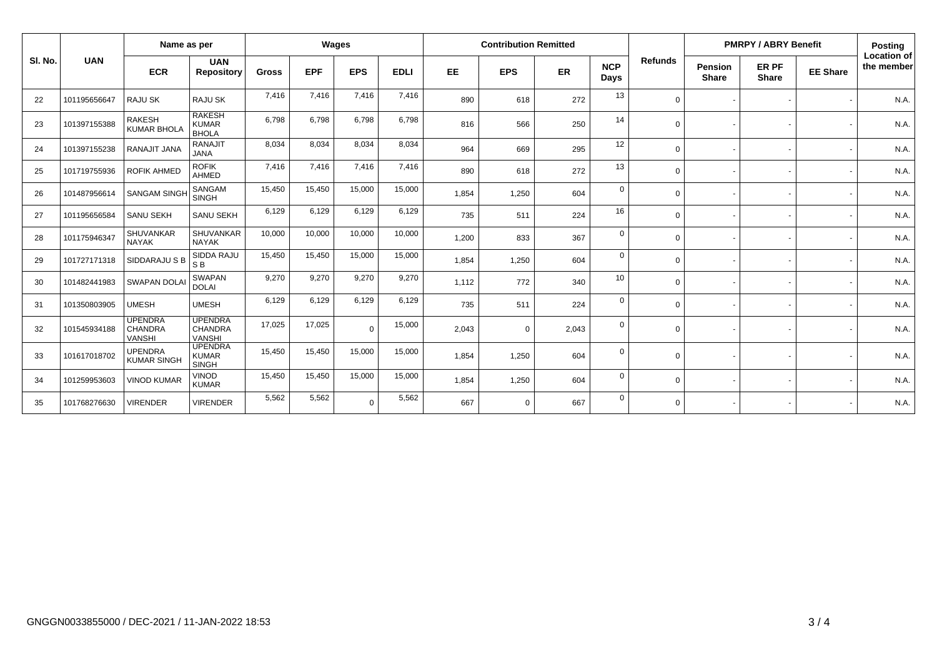|         |              | Name as per                                       |                                                   | Wages        |            |            |             | <b>Contribution Remitted</b> |             |       |                    |                | <b>PMRPY / ABRY Benefit</b>    |                       |                 | <b>Posting</b>                   |
|---------|--------------|---------------------------------------------------|---------------------------------------------------|--------------|------------|------------|-------------|------------------------------|-------------|-------|--------------------|----------------|--------------------------------|-----------------------|-----------------|----------------------------------|
| SI. No. | <b>UAN</b>   | <b>ECR</b>                                        | <b>UAN</b><br><b>Repository</b>                   | <b>Gross</b> | <b>EPF</b> | <b>EPS</b> | <b>EDLI</b> | <b>EE</b>                    | <b>EPS</b>  | ER    | <b>NCP</b><br>Days | <b>Refunds</b> | <b>Pension</b><br><b>Share</b> | ER PF<br><b>Share</b> | <b>EE Share</b> | <b>Location of</b><br>the member |
| 22      | 101195656647 | RAJU SK                                           | RAJU SK                                           | 7,416        | 7,416      | 7,416      | 7,416       | 890                          | 618         | 272   | 13                 | $\Omega$       |                                |                       |                 | N.A.                             |
| 23      | 101397155388 | <b>RAKESH</b><br><b>KUMAR BHOLA</b>               | <b>RAKESH</b><br><b>KUMAR</b><br><b>BHOLA</b>     | 6,798        | 6,798      | 6,798      | 6,798       | 816                          | 566         | 250   | 14                 | $\Omega$       |                                |                       |                 | N.A.                             |
| 24      | 101397155238 | RANAJIT JANA                                      | <b>RANAJIT</b><br><b>JANA</b>                     | 8,034        | 8,034      | 8,034      | 8,034       | 964                          | 669         | 295   | 12                 | $\Omega$       |                                |                       |                 | N.A.                             |
| 25      | 101719755936 | <b>ROFIK AHMED</b>                                | <b>ROFIK</b><br><b>AHMED</b>                      | 7,416        | 7,416      | 7,416      | 7,416       | 890                          | 618         | 272   | 13                 | $\Omega$       |                                |                       |                 | N.A.                             |
| 26      | 101487956614 | <b>SANGAM SINGH</b>                               | SANGAM<br><b>SINGH</b>                            | 15,450       | 15,450     | 15,000     | 15,000      | 1,854                        | 1,250       | 604   | $\Omega$           | $\Omega$       |                                |                       |                 | N.A.                             |
| 27      | 101195656584 | SANU SEKH                                         | SANU SEKH                                         | 6,129        | 6,129      | 6,129      | 6,129       | 735                          | 511         | 224   | 16                 | $\Omega$       |                                |                       |                 | N.A.                             |
| 28      | 101175946347 | <b>SHUVANKAR</b><br><b>NAYAK</b>                  | <b>SHUVANKAR</b><br><b>NAYAK</b>                  | 10,000       | 10,000     | 10,000     | 10,000      | 1,200                        | 833         | 367   | $\mathbf 0$        | $\Omega$       |                                |                       |                 | N.A.                             |
| 29      | 101727171318 | SIDDARAJU S B                                     | SIDDA RAJU<br>S <sub>B</sub>                      | 15,450       | 15,450     | 15,000     | 15,000      | 1,854                        | 1,250       | 604   | $\mathbf 0$        | $\Omega$       |                                |                       |                 | N.A.                             |
| 30      | 101482441983 | <b>SWAPAN DOLAI</b>                               | <b>SWAPAN</b><br><b>DOLAI</b>                     | 9,270        | 9,270      | 9,270      | 9,270       | 1,112                        | 772         | 340   | 10                 | $\Omega$       |                                |                       |                 | N.A.                             |
| 31      | 101350803905 | <b>UMESH</b>                                      | <b>UMESH</b>                                      | 6,129        | 6,129      | 6,129      | 6,129       | 735                          | 511         | 224   | $\Omega$           | $\Omega$       |                                |                       |                 | N.A.                             |
| 32      | 101545934188 | <b>UPENDRA</b><br><b>CHANDRA</b><br><b>VANSHI</b> | <b>UPENDRA</b><br><b>CHANDRA</b><br><b>VANSHI</b> | 17,025       | 17,025     | $\Omega$   | 15,000      | 2,043                        | $\mathbf 0$ | 2,043 | $\Omega$           | $\Omega$       |                                |                       |                 | N.A.                             |
| 33      | 101617018702 | <b>UPENDRA</b><br><b>KUMAR SINGH</b>              | <b>UPENDRA</b><br><b>KUMAR</b><br><b>SINGH</b>    | 15.450       | 15,450     | 15,000     | 15,000      | 1,854                        | 1,250       | 604   | $\Omega$           | $\Omega$       |                                |                       |                 | N.A.                             |
| 34      | 101259953603 | <b>VINOD KUMAR</b>                                | <b>VINOD</b><br><b>KUMAR</b>                      | 15,450       | 15,450     | 15,000     | 15,000      | 1,854                        | 1,250       | 604   | $\mathbf 0$        | $\Omega$       |                                |                       |                 | N.A.                             |
| 35      | 101768276630 | <b>VIRENDER</b>                                   | <b>VIRENDER</b>                                   | 5,562        | 5,562      | $\Omega$   | 5,562       | 667                          | $\mathbf 0$ | 667   | $\Omega$           | $\Omega$       |                                |                       |                 | N.A.                             |